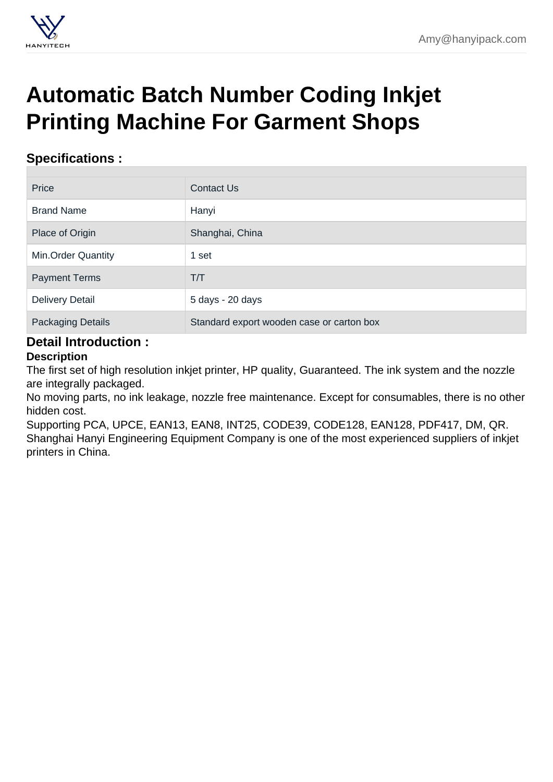## [Automatic Batch Number Coding Inkjet](https://hanyipack.com/high-resolution-inkjet-printer/automatic-batch-number-coding-inkjet-printing-machine-for-garment-shops.html) Printing Machine For Garment Shops

## Specifications :

| Price                     | <b>Contact Us</b>                         |  |
|---------------------------|-------------------------------------------|--|
| <b>Brand Name</b>         | Hanyi                                     |  |
| Place of Origin           | Shanghai, China                           |  |
| <b>Min.Order Quantity</b> | 1 set                                     |  |
| <b>Payment Terms</b>      | T/T                                       |  |
| <b>Delivery Detail</b>    | 5 days - 20 days                          |  |
| <b>Packaging Details</b>  | Standard export wooden case or carton box |  |

## Detail Introduction :

**Description** 

The first set of high resolution inkjet printer, HP quality, Guaranteed. The ink system and the nozzle are integrally packaged.

No moving parts, no ink leakage, nozzle free maintenance. Except for consumables, there is no other hidden cost.

Supporting PCA, UPCE, EAN13, EAN8, INT25, CODE39, CODE128, EAN128, PDF417, DM, QR. Shanghai Hanyi Engineering Equipment Company is one of the most experienced suppliers of inkjet printers in China.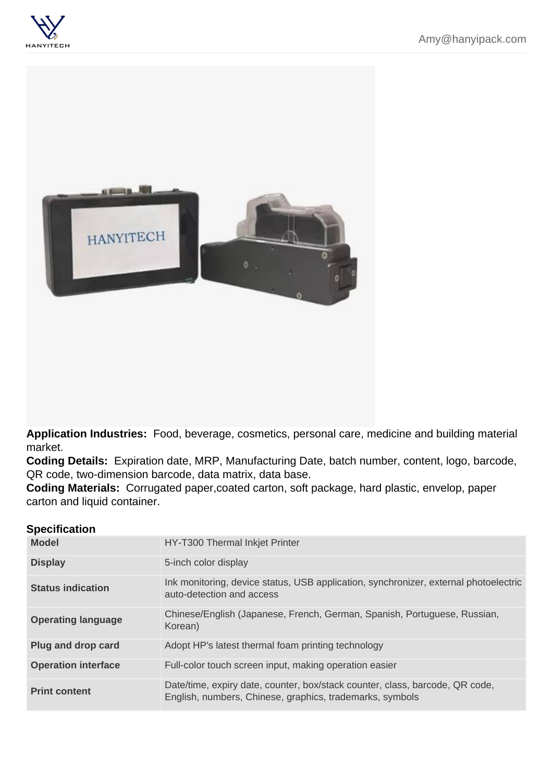Application Industries: Food, beverage, cosmetics, personal care, medicine and building material market.

Coding Details: Expiration date, MRP, Manufacturing Date, batch number, content, logo, barcode, QR code, two-dimension barcode, data matrix, data base.

Coding Materials: Corrugated paper,coated carton, soft package, hard plastic, envelop, paper carton and liquid container.

| Specification |
|---------------|
|               |

| Model               | HY-T300 Thermal Inkjet Printer                                                                                                           |
|---------------------|------------------------------------------------------------------------------------------------------------------------------------------|
| <b>Display</b>      | 5-inch color display                                                                                                                     |
| Status indication   | Ink monitoring, device status, USB application, synchronizer, external photoelectric<br>auto-detection and access                        |
| Operating language  | Chinese/English (Japanese, French, German, Spanish, Portuguese, Russian,<br>Korean)                                                      |
| Plug and drop card  | Adopt HP's latest thermal foam printing technology                                                                                       |
| Operation interface | Full-color touch screen input, making operation easier                                                                                   |
| Print content       | Date/time, expiry date, counter, box/stack counter, class, barcode, QR code,<br>English, numbers, Chinese, graphics, trademarks, symbols |